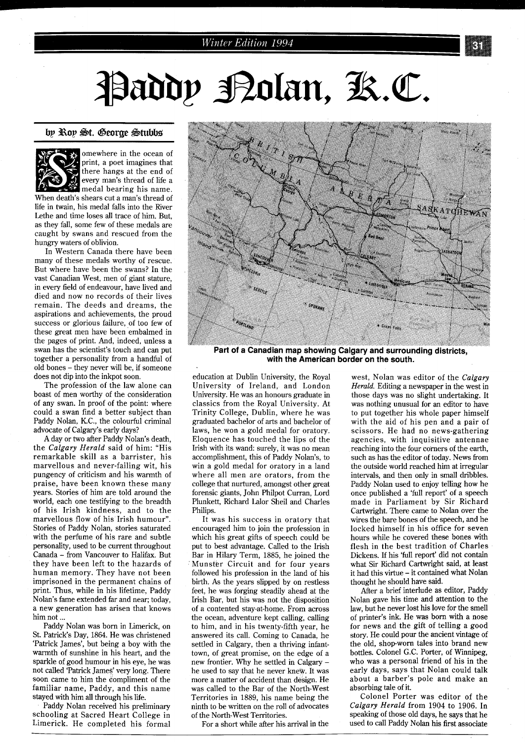# Paddy Polan, K.C.

#### **bp %bp Bt. 6eorge Btubbs'**



omewhere in the ocean of print, a poet imagines that there hangs at the end of every man's thread of liie a medal bearing his name.

When death's shears cut a man's thread of life in twain, his medal falls into the River Lethe and time loses all trace of him. But, as they fall, some few of these medals are caught by swans and rescued from the hungry waters of oblivion.

In Western Canada there have been many of these medals worthy of rescue. But where have been the swans? In the vast Canadian West, men of giant stature, in every field of endeavour, have lived and died and now no records of their lives remain. The deeds and dreams, the aspirations and achievements, the proud success or glorious failure, of too few of these great men have been embalmed in the pages of print. And, indeed, unless a swan has the scientist's touch and can put together a personality from a handful of old bones - they never will be, if someone does not dip into the inkpot soon.

The profession of the law alone can boast of men worthy of the consideration of any swan. In proof of the point: where could a swan find a better subject than Paddy Nolan, KC., the colourful criminal advocate of Calgary's early days?

A day or two after Paddy Nolan's death, the *Calgary Herald* said of him: "His remarkable skill as a barrister, his marvellous and never-failing wit, his pungency of criticism and his warmth of praise, have been known these many years. Stories of him are told around the world, each one testifying to the breadth of his Irish kindness, and to the marvellous flow of his Irish humour". Stories of Paddy Nolan, stories saturated with the perfume of his rare and subtle personality, used to be current throughout Canada - from Vancouver to Halifax. But they have been left to the hazards of human memory. They have not been imprisoned in the permanent chains of print. Thus, while in his lifetime, Paddy Nolan's fame extended far and near; today, a new generation has arisen that knows him not ...

Paddy Nolan was born in Limerick, on St. Patrick's Day, 1864. He was christened 'Patrick James', but being a boy with the warmth of sunshine in his heart, and the sparkle of good humour in his eye, he was not called 'Patrick James' very long. There soon came to him the compliment of the familiar name, Paddy, and this name stayed with him all through his life.

Paddy Nolan received his preliminary schooling at Sacred Heart College in Limerick. He completed his formal



**Part of a Canadian map showing Calgary and surrounding districts, with the American border on the south.** 

education at Dublin University, the Royal University of Ireland, and London University. He was an honours graduate in classics from the Royal University. At Trinity College, Dublin, where he was graduated bachelor of arts and bachelor of laws, he won a gold medal for oratory. Eloquence has touched the lips of the Irish with its wand: surely, it was no mean accomplishment, this of Paddy Nolan's, to win a gold medal for oratory in a land where all men are orators, from the college that nurtured, amongst other great forensic giants, John Philpot Curran, Lord Plunkett, Richard Lalor Sheil and Charles Philips.

It was his success in oratory that encouraged him to join the profession in which his great gifts of speech could be put to best advantage. Called to the Irish Bar in Hilary Term, 1885, he joined the Munster Circuit and for four years followed his profession in the land of his birth. As the years slipped by on restless feet, he was forging steadily ahead at the Irish Bar, but his was not the disposition of a contented stay-at-home. From across the ocean, adventure kept calling, calling to him, and in his twenty-fifth year, he answered its call. Coming to Canada, he settled in Calgary, then a thriving infanttown, of great promise, on the edge of a new frontier. Why he settled in Calgary he used to say that he never knew. It was more a matter of accident than design. He was called to the Bar of the North-West Territories in 1889, his name being the ninth to be written on the roll of advocates of the North-West Territories.

For a short while after his arrival in the

west, Nolan was editor of the *Calgary Herald.* Editing a newspaper in the west in those days was no slight undertaking. It was nothing unusual for an editor to have to put together his whole paper himself with the aid of his pen and a pair of scissors. He had no news-gathering agencies, with inquisitive antennae reaching into the four corners of the earth, such as has the editor of today. News from the outside world reached him at irregular intervals, and then only in small dribbles. Paddy Nolan used to enjoy telling how he once published a 'full report' of a speech made in Parliament by Sir Richard Cartwright. There came to Nolan over the wires the bare bones of the speech, and he locked himself in his office for seven hours while he covered these bones with flesh in the best tradition of Charles Dickens. If his 'full report' did not contain what Sir Richard Cartwright said, at least it had this virtue - it contained what Nolan thought he should have said.

After a brief interlude as editor, Paddy Nolan gave his time and attention to the law, but he never lost his love for the smell of printer's ink. He was born with a nose for news and the gift of telling a good story. He could pour the ancient vintage of the old, shop-worn tales into brand new bottles. Colonel G.C. Porter, of Winnipeg, who was a personal friend of his in the early days, says that Nolan could talk about a barber's pole and make an absorbing tale of it.

Colonel Porter was editor of the *Calgary Herald* from 1904 to 1906. In speaking of those old days, he says that he used to call Paddy Nolan his first associate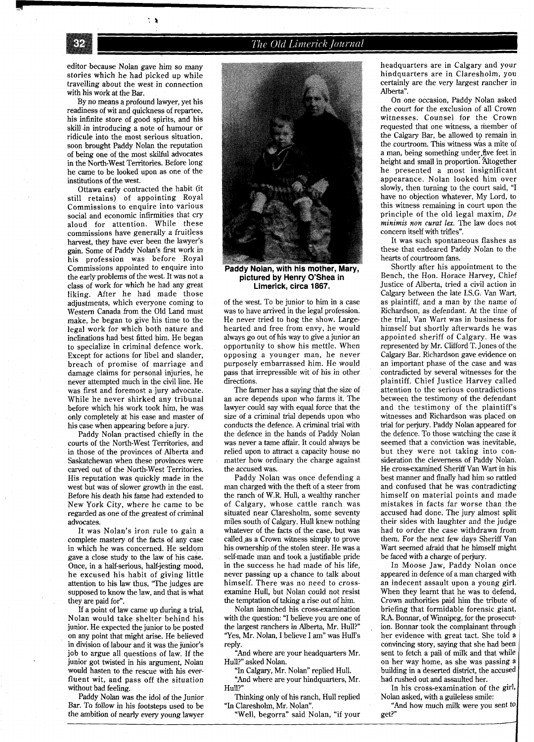## The Old Limerick Journal

editor because Nolan gave him so many stories which he had picked up while travelling about the west in connection with his work at the Bar.

37

े है

By no means a profound lawyer, yet his readiness of wit and quickness of repartee, his infinite store of good spirits, and his skill in introducing a note of humour or ridicule into the most serious situation, soon brought Paddy Nolan the reputation of being one of the most skilful advocates in the North-West Territories. Before long he came to be looked upon as one of the institutions of the west.

Ottawa early contracted the habit (it still retains) of appointing Royal Commissions to enquire into various social and economic infirmities that cry aloud for attention. While these commissions have generally a fruitless harvest, they have ever been the lawyer's gain. Some of Paddy Nolan's first work in his profession was before Royal Commissions appointed to enquire into the early problems of the west. It was not a class of work for which he had any great liking. After he had made those adjustments, which everyone coming to Western Canada from the Old Land must make, he began to give his time to the legal work for which both nature and inclinations had best fitted him. He began to specialize in criminal defence work. Except for actions for libel and slander, breach of promise of marriage and damage claims for personal injuries, he never attempted much in the civil line. He was first and foremost a jury advocate. While he never shirked any tribunal before which his work took him, he was only completely at his ease and master of his case when appearing before a jury.

Paddy Nolan practised chiefly in the courts of the North-West Territories, and in those of the provinces of Alberta and Saskatchewan when these provinces were carved out of the North-West Territories. His reputation was quickly made in the west but was of slower growth in the east. Before his death his fame had extended to New York City, where he came to be regarded as one of the greatest of criminal advocates.

It was Nolan's iron rule to gain a complete mastery of the facts of any case in which he was concerned. He seldom gave a close study to the law of his case. Once, in a half-serious, half-jesting mood, he excused his habit of giving little attention to his law thus, "The judges are supposed to know the law, and that is what they are paid for".

If a point of law came up during a trial, Nolan would take shelter behind his junior. He expected the junior to be posted on any point that might arise. He believed in division of labour and it was the junior's job to argue all questions of law. If the junior got twisted in his argument, Nolan would hasten to the rescue with his everfluent wit, and pass off the situation without bad feeling.

Paddy Nolan was the idol of the Junior Bar. To follow in his footsteps used to be the ambition of nearly every young lawyer



Paddy Nolan, with his mother, Mary, **pictured by Henry O'Shea in Limerick, circa 1867.** 

of the west. To be junior to him in a case was to have arrived in the legal profession. He never tried to hog the show. Largehearted and free from envy, he would always go out of his way to give a junior an opportunity to show his mettle. When opposing a younger man, he never purposely embarrassed him. He would pass that irrepressible wit of his in other directions.

The farmer has a saying that the size of an acre depends upon who farms it. The lawyer could say with equal force that the size of a criminal trial depends upon who conducts the defence. **A** criminal trial with the defence in the hands of Paddy Nolan was never a tame affair. It could always be relied upon to attract a capacity house no matter how ordinary the charge against the accused was.

Paddy Nolan was once defending a man charged with the theft of a steer from the ranch of W.R. Hull, a wealthy rancher of Calgary, whose cattle ranch was situated near Claresholm, some seventy miles south of Calgary. Hull knew nothing whatever of the facts of the case, but was called as a Crown witness simply to prove his ownership of the stolen steer. He was a self-made man and took a justifiable pride in the success he had made of his life, never passing up a chance to talk about himself. There was no need to crossexamine Hull, but Nolan could not resist the temptation of taking a rise out of him.

Nolan launched his cross-examination with the question: "I believe you are one of the largest ranchers in Alberta, Mr. Hull?" 'Yes, Mr. Nolan, I believe I am" was Hull's reply.

"And where are your headquarters Mr. Hull?" asked Nolan.

"In Calgary, Mr. Nolan" replied Hull.

"And where are your hindquarters, Mr. Hull?"

Thinking only of his ranch, Hull replied "In Claresholm, Mr. Nolan".

"Well, begorra" said Nolan, "if your

headquarters are in Calgary and your hindquarters are in Claresholm, you certainly are the very largest rancher in Alberta".

On one occasion, Paddy Nolan asked the court for the exclusion of all Crown witnesses. Counsel for the Crown requested that one witness, a member of the Calgary Bar, be allowed to remain in the courtroom. This witness was a mite of a man, being something under five feet in height and small in proportion. 'Altogether he presented a most insignificant appearance. Nolan looked him over slowly, then turning to the court said, "I have no objection whatever, My Lord, to this witness remaining in court upon the principle of the old legal maxim, De *minimis non curat lex.* The law does not concern itself with trifles".

It was such spontaneous flashes as these that endeared Paddy Nolan to the hearts of courtroom fans.

Shortly after his appointment to the Bench, the Hon. Horace Harvey, Chief Justice of Alberta, tried a civil action in Calgary between the late I.S.G. Van Wart, as plaintiff, and a man by the name of Richardson, as defendant. At the time of the trial, Van Wart was in business for himself but shortly afterwards he was appointed sheriff of Calgary. He was represented by Mr. Clifford T. Jones of the Calgary Bar. Richardson gave evidence on an important phase of the case and was contradicted by several witnesses for the plaintiff. Chief Justice Harvey called attention to the serious contradictions between the testimony of the defendant and the testimony of the plaintiff's witnesses and Richardson was placed on trial for perjury. Paddy Nolan appeared for the defence. To those watching the case it seemed that a conviction was inevitable, but they were not taking into consideration the cleverness of Paddy Nolan. He cross-examined Sheriff Van Wart in his best manner and finally had him so rattled and confused that he was contradicting himself on material points and made mistakes in facts far worse than the accused had done. The jury almost split their sides with laughter and the judge had to order the case withdrawn from them. For the next few days Sheriff Van Wart seemed afraid that he himself might be faced with a charge of perjury.

In Moose Jaw, Paddy Nolan once appeared in defence of a man charged with an indecent assault upon a young girl. When they learnt that he was to defend, Crown authorities paid him the tribute of briefing that formidable forensic giant, RA. Bonnar, of Winnipeg, for the prosecution. Bonnar took the complainant through her evidence with great tact. She told a convincing story, saying that she had been sent to fetch a pail of milk and that while on her way home, as she was passing a building in a deserted district, the accused had rushed out and assaulted her.

In his cross-examination of the girl, Nolan asked, with a guileless smile:

"And how much milk were you sent  $\mathfrak{w}|$ get?"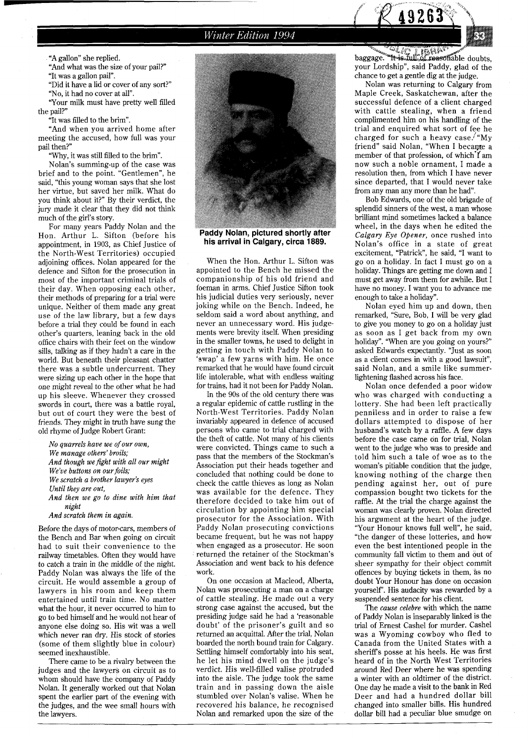

"A gallon" she replied.

"And what was the size of your pail?" "It was a gallon pail".

"Did it have a lid or cover of any sort?" "No, it had no cover at all".

'Your milk must have pretty well filled the pail?"

"It was filled to the brim".

"And when you arrived home after meeting the accused, how full was your pail then?"

'Why, it was still filled to the brim".

Nolan's summing-up of the case was brief and to the point. "Gentlemen", he said, "this young woman says that she lost her virtue, but saved her milk. What do you think about it?" By their verdict, the jury made it clear that they did not think much of the girl's story.

For many years Paddy Nolan and the Hon. Arthur L. Sifton (before his appointment, in 1903, as Chief Justice of the North-West Territories) occupied adjoining offices. Nolan appeared for the defence and Sifton for the prosecution in most of the important criminal trials of their day. When opposing each other, their methods of preparing for a trial were unique. Neither of them made any great use of the law library, but a few days before a trial they could be found in each other's quarters, leaning back in the old office chairs with their feet on the window sills, talking as if they hadn't a care in the world. But beneath their pleasant chatter there was a subtle undercurrent. They were sizing up each other in the hope that one might reveal to the other what he had up his sleeve. Whenever they crossed swords in court, there was a battle royal, but out of court they were the best of friends. They might in truth have sung the old rhyme of Judge Robert Grant:

*No quarrels have we of our own, We manage others' broils; And though we fight with all our might We've buttons on our foils; We scratch a brother lawyer's eyes Until they are out, And then we go to dine with him that night* 

*And scratch them in again.* 

Before the days of motor-cars, members of the Bench and Bar when going on circuit had to suit their convenience to the railway timetables. Often they would have to catch a train in the middle of the night. Paddy Nolan was always the life of the circuit. He would assemble a group of lawyers in his room and keep them entertained until train time. No matter what the hour, it never occurred to him to go to bed himself and he would not hear of anyone else doing so. His wit was a well which never ran dry. His stock of stories (some of them slightly blue in colour) seemed inexhaustible.

There came to be a rivalry between the judges and the lawyers on circuit as to whom should have the company of Paddy Nolan. It generally worked out that Nolan spent the earlier part of the evening with the judges, and the wee small hours with the lawyers.



Paddy Nolan, pictured shortly after his arrival in Calgary, circa 1889.

When the Hon. Arthur L. Sifton was appointed to the Bench he missed the companionship of his old friend and foeman in arms. Chief Justice Sifton took his judicial duties very seriously, never joking while on the Bench. Indeed, he seldom said a word about anything, and never an unnecessary word. His judgements were brevity itself. When presiding in the smaller towns, he used to delight in getting in touch with Paddy Nolan to 'swap' a few yarns with him. He once remarked that he would have found circuit life intolerable, what with endless waiting for trains, had it not been for Paddy Nolan.

In the 90s of the old century there was a regular epidemic of cattle rustling in the North-West Territories. Paddy Nolan invariably appeared in defence of accused persons who came to trial charged with the theft of cattle. Not many of his clients were convicted. Things came to such a pass that the members of the Stockman's Association put their heads together and concluded that nothing could be done to check the cattle thieves as long as Nolan was available for the defence. They therefore decided to take him out of circulation by appointing him special prosecutor for the Association. With Paddy Nolan prosecuting convictions became frequent, but he was not happy when engaged as a prosecutor. He soon returned the retainer of the Stockman's Association and went back to his defence work.

On one occasion at Macleod, Alberta, Nolan was prosecuting a man on a charge of cattle stealing. He made out a very strong case against the accused, but the presiding judge said he had a 'reasonable doubt' of the prisoner's guilt and so returned an acquittal. After the trial, Nolan boarded the north bound train for Calgary. Settling himself comfortably into his seat, he let his mind dwell on the judge's verdict. His well-filled valise protruded into the aisle. The judge took the same train and in passing down the aisle stumbled over Nolan's valise. When he recovered his balance, he recognised Nolan and remarked upon the size of the

baggage. "It is full of reasonable doubts, your Lordship", said Paddy, glad of the chance to get a gentle dig at the judge.

Nolan was returning to Calgary from Maple Creek, Saskatchewan, after the successful defence of a client charged with cattle stealing, when a friend complimented him on his handling of the trial and enquired what sort of fee he charged for such a heavy case. $H$  "My friend" said Nolan, "When I became a member of that profession, of which I am now such a noble ornament, I made a resolution then, from which I have never since departed, that I would never take from any man any more than he had".

Bob Edwards, one of the old brigade of splendid sinners of the west, a man whose brilliant mind sometimes lacked a balance wheel, in the days when he edited the *Calgary Eye Opener,* once rushed into Nolan's office in a state of great excitement, "Patrick", he said, "I want to go on a holiday. In fact I must go on a holiday. Things are getting me down and I must get away from them for awhile. But I have no money. I want you to advance me enough to take a holiday".

Nolan eyed him up and down, then remarked, "Sure, Bob, I will be very glad to give you money to go on a holiday just as soon as I get back from my own holiday". 'When are you going on yours?" asked Edwards expectantly. "Just as soon as a client comes in with a good lawsuit", said Nolan, and a smile like summerlightening flashed across his face.

Nolan once defended a poor widow who was charged with conducting a lottery. She had been left practically penniless and in order to raise a few dollars attempted to dispose of her husband's watch by a raffle. A few days before the case came on for trial, Nolan went to the judge who was to preside and told him such a tale of woe as to the woman's pitiable condition that the judge, knowing nothing of the charge then pending against her, out of pure compassion bought two tickets for the raffle. At the trial the charge against the woman was clearly proven. Nolan directed his argument at the heart of the judge. "Your Honour knows full well", he said, "the danger of these lotteries, and how even the best intentioned people in the community fall victim to them and out of sheer sympathy for their object commit offences by buying tickets in them, as no doubt Your Honour has done on occasion yourself'. His audacity was rewarded by a suspended sentence for his client.

The *cause celebre* with which the name of Paddy Nolan is inseparably linked is the trial of Ernest Cashel for murder. Cashel was a Wyoming cowboy who fled to Canada from the United States with a sheriffs posse at his heels. He was first heard of in the North West Territories around Red Deer where he was spending a winter with an oldtimer of the district. One day he made a visit to the bank in Red Deer and had a hundred dollar bill changed into smaller bills. His hundred dollar bill had a peculiar blue smudge on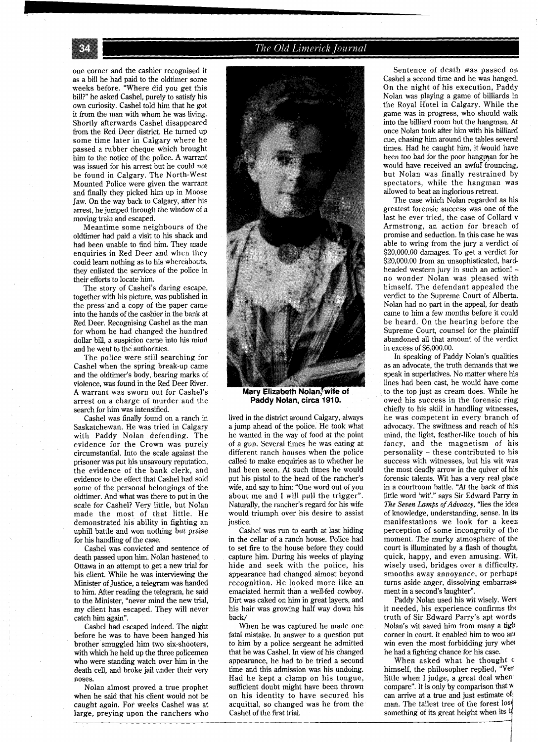

The Old Limerick Journal

one corner and the cashier recognised it as a bill he had paid to the oldtimer some weeks before. "Where did you get this bill?" he asked Cashel, purely to satisfy his own curiosity. Cashel told him that he got it from the man with whom he was living. Shortly afterwards Cashel disappeared from the Red Deer district. He turned up some time later in Calgary where he passed a rubber cheque which brought him to the notice of the police. A warrant was issued for his arrest but he could not be found in Calgary. The North-West Mounted Police were given the warrant and finally they picked him up in Moose Jaw. On the way back to Calgary, after his arrest, he jumped through the window of a moving train and escaped.

Meantime some neighbours of the oldtimer had paid a visit to his shack and had been unable to find him. They made enquiries in Red Deer and when they could learn nothing as to his whereabouts, they enlisted the services of the police in their efforts to locate him.

The story of Cashel's daring escape, together with his picture, was published in the press and a copy of the paper came into the hands of the cashier in the bank at Red Deer. Recognising Cashel as the man for whom he had changed the hundred dollar bill, a suspicion came into his mind and he went to the authorities.

The police were still searching for Cashel when the spring break-up came and the oldtimer's body, bearing marks of violence, was found in the Red Deer River. A warrant was sworn out for Cashel's arrest on a charge of murder and the search for him was intensified.

Cashel was finally found on a ranch in Saskatchewan. He was tried in Calgary with Paddy Nolan defending. The evidence for the Crown was purely circumstantial. Into the scale against the prisoner was put his unsavoury reputation, the evidence of the bank clerk, and evidence to the effect that Cashel had sold some of the personal belongings of the oldtimer. And what was there to put in the scale for Cashel? Very little, but Nolan made the most of that little. He demonstrated his ability in fighting an uphill battle and won nothing but praise for his handling of the case.

Cashel was convicted and sentence of death passed upon him. Nolan hastened to Ottawa in an attempt to get a new trial for his client. While he was interviewing the Minister of Justice, a telegram was handed to him. After reading the telegram, he said to the Minister, "never mind the new trial, my client has escaped. They will never catch him again".

Cashel had escaped indeed. The night before he was to have been hanged his brother smuggled him two six-shooters, with which he held up the three policemen who were standing watch over him in the death cell, and broke jail under their very noses.

Nolan almost proved a true prophet when he said that his client would not be caught again. For weeks Cashel was at large, preying upon the ranchers who



**paddy Nolan, circa.1910.** 

lived in the district around Calgary, always a jump ahead of the police. He took what he wanted in the way of food at the point of a gun. Several times he was eating at different ranch houses when the police called to make enquiries as to whether he had been seen. At such times he would put his pistol to the head of the rancher's wife, and say to him: "One word out of you about me and I will pull the trigger". Naturally, the rancher's regard for his wife would triumph over his desire to assist justice.

Cashel was run to earth at last hiding in the cellar of a ranch house. Police had to set fire to the house before they could capture him. During his weeks of playing hide and seek with the police, his appearance had changed almost beyond recognition. He looked more like an emaciated hermit than a well-fed cowboy. Dirt was caked on him in great layers, and his hair was growing half way down his back/

When he was captured he made one fatal mistake. In answer to a question put to him by a police sergeant he admitted that he was Cashel. In view of his changed appearance, he had to be tried a second time and this admission was his undoing. Had he kept a clamp on his tongue, sufficient doubt might have been thrown on his identity to have secured his acquittal, so changed was he from the Cashel of the first trial.

Sentence of death was passed on Cashel a second time and he was hanged. On the night of his execution, Paddy Nolan was playing a game of billiards in the Royal Hotel in Calgary. While the game was in progress, who should walk into the billiard room but the hangman. At once Nolan took after him with his billiard cue, chasing him around the tables several times. Had he caught him, it would have been too bad for the poor hangman for he would have received an awful frouncing, but Nolan was finally restrained by<br>spectators, while the hangman was spectators, while the hangman allowed to beat an inglorious retreat.

The case which Nolan regarded as his greatest forensic success was one of the last he ever tried, the case of Collard v Armstrong, an action for breach of promise and seduction. In this case he was able to wring from the jury a verdict of \$20,000.00 damages. To get a verdict for \$20,000.00 from an unsophisticated, hard-<br>headed western jury in such an action! no wonder Nolan was pleased with himself. The defendant appealed the verdict to the Supreme Court of Alberta. Nolan had no part in the appeal, for death came to him a few months before it could be heard. On the hearing before the Supreme Court, counsel for the plaintiff abandoned all that amount of the verdict in excess of \$6,000.00.

In speaking of Paddy Nolan's qualities as an advocate, the truth demands that we speak in superlatives. No matter where his lines had been cast, he would have come to the top just as cream does. While he owed his success in the forensic ring chiefly to his skill in handling witnesses, he was competent in every branch of advocacy. The swiftness and reach of his mind, the light, feather-like touch of his fancy, and the magnetism of his personality - these contributed to his success with witnesses, but his wit was the most deadly arrow in the quiver of his forensic talents. Wit has a very real place in a courtroom battle. "At the back of this little word 'wit'." says Sir Edward Parry in *The Seven* Lamps of *Aduoacy,* "lies the idea of knowledge, understanding, sense. In its manifestations we look for a keen perception of some incongruity of the moment. The murky atmosphere of the court is illuminated by a flash of thought, quick, happy, and even amusing. Wit, wisely used, bridges over a difficulty, smooths away annoyance, or perhaps turns aside anger, dissolving embarrassment in a second's laughter".

Paddy Nolan used his wit wisely. Were it needed, his experience confirms the truth of Sir Edward Parry's apt words Nolan's wit saved him from many a tigh corner in court. It enabled him to woo and win even the most forbidding jury whel he had a fighting chance for his case.

When asked what he thought **0**  himself, the philosopher replied, "Ver little when I judge, a great deal when compare". It is only by comparison that **<sup>W</sup>** can arrive at a true and just estimate of man. The tallest tree of the forest 10s something of its great height when its to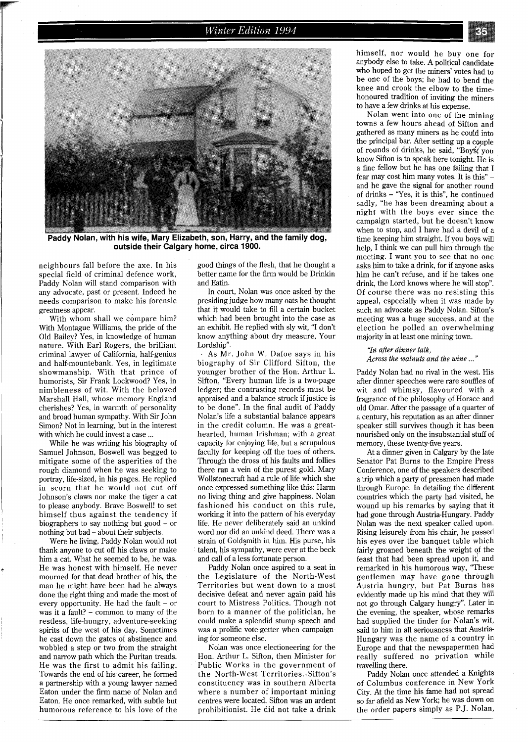## **Winter Edition 1994**



Paddy Nolan, with his wife, Mary Elizabeth, son, Harry, and the family dog, **outside their Calgary home, circa 1900.** 

neighbours fall before the axe. In his special field of criminal defence work, Paddy Nolan will stand comparison with any advocate, past or present. Indeed he needs comparison to make his forensic greatness appear.

With whom shall we compare him? With Montague Williams, the pride of the Old Bailey? Yes, in knowledge of human nature. With Earl Rogers, the brilliant criminal lawyer of California, half-genius and half-mountebank. Yes, in legitimate showmanship. With that prince of humorists, Sir Frank Lockwood? Yes, in nimbleness of wit. With the beloved Marshal1 Hall, whose memory England cherishes? Yes, in warmth of personality and broad human sympathy. With Sir John Simon? Not in learning, but in the interest with which he could invest a case ...

While he was writing his biography of Samuel Johnson, Boswell was begged to mitigate some of the asperities of the rough diamond when he was seeking to portray, life-sized, in his pages. He replied in scorn that he would not cut off Johnson's claws nor make the tiger a cat to please anybody. Brave Boswell! to set himself thus against the tendency if biographers to say nothing but good - or nothing but bad - about their subjects.

Were he living, Paddy Nolan would not thank anyone to cut off his claws or make him a cat. What he seemed to be, he was. He was honest with himself. He never mourned for that dead brother of his, the man he might have been had he always done the right thing and made the most of every opportunity. He had the fault – or was it a fault? - common to many of the restless, life-hungry, adventure-seeking spirits of the west of his day. Sometimes he cast down the gates of abstinence and wobbled a step or two from the straight and narrow path which the Puritan treads. He was the first to admit his failing. Towards the end of his career, he formed a partnership with a young lawyer named Eaton under the firm name of Nolan and Eaton. He once remarked, with subtle but humorous reference to his love of the

good things of the flesh, that he thought a better name for the firm would be Drinkin and Eatin.

In court, Nolan was once asked by the presiding judge how many oats he thought that it would take to fill a certain bucket which had been brought into the case as an exhibit. He replied with sly wit, "I don't know anything about dry measure, Your Lordship".

As Mr. John W. Dafoe says in his biography of Sir Clifford Sifton, the younger brother of the Hon. Arthur L. Sifton, "Every human life is a two-page ledger; the contrasting records must be appraised and a balance struck if justice is to be done". In the final audit of Paddy Nolan's life a substantial balance appears in the credit column. He was a greathearted, human Irishman; with a great capacity for enjoying life, but a scrupulous faculty for keeping off the toes of others. Through the dross of his faults and follies there ran a vein of the purest gold. Mary Wollstonecraft had a rule of life which she once expressed something like this: Harm no living thing and give happiness. Nolan fashioned his conduct on this rule, working it into the pattern of his everyday life. He never deliberately said an unkind word nor did an unkind deed. There was a strain of Goldsmith in him. His purse, his talent, his sympathy, were ever at the beck and call of a less fortunate person.

Paddy Nolan once aspired to a seat in the Legislature of the North-West Territories but went down to a most decisive defeat and never again paid his court to Mistress Politics. Though not born to a manner of the politician, he could make a splendid stump speech and was a prolific vote-getter when campaigning for someone else.

Nolan was once electioneering for the Hon. Arthur L. Sifton, then Minister for Public Works in the government of the North-West Territories. Sifton's constituency was in southern Alberta where a number of important mining centres were located. Sifton was an ardent prohibitionist. He did not take a drink himself, nor would he buy one for anybody else to take. A political candidate who hoped to get the miners' votes had to be one of the boys; he had to bend the knee and crook the elbow to the timehonoured tradition of inviting the miners to have a few drinks at his expense.

Nolan went into one of the mining towns a few hours ahead of Sifton and gathered as many miners as he could into the principal bar. After setting up a couple of rounds of drinks, he said, "Boys, you know Sifton is to speak here tonight. He is a fine fellow but he has one failing that I fear may cost him many votes. It is this" and he gave the signal for another round of drinks - 'Yes, it is this", he continued sadly, "he has been dreaming about a night with the boys ever since the campaign started, but he doesn't know when to stop, and I have had a devil of a time keeping him straight. If you boys will help, I think we can pull him through the meeting. I want you to see that no one asks him to take a drink, for if anyone asks him he can't refuse, and if he takes one drink, the Lord knows where he will stop". Of course there was no resisting this appeal, especially when it was made by such an advocate as Paddy Nolan. Sifton's meeting was a huge success, and at the election he polled an overwhelming majority in at least one mining town.

#### **'%z** *after dinner talk, Across the walnuts and the wine* ..."

Paddy Nolan had no rival in the west. His after dinner speeches were rare souffles of wit and whimsy, flavoured with a fragrance of the philosophy of Horace and old Omar. After the passage of a quarter of a century, his reputation as an after dinner speaker still survives though it has been nourished only on the insubstantial stuff of memory, these twenty-five years.

At a dinner given in Calgary by the late Senator Pat Burns to the Empire Press Conference, one of the speakers described a trip which a party of pressmen had made through Europe. In detailing the different countries which the party had visited, he wound up his remarks by saying that it had gone through Austria-Hungary. Paddy Nolan was the next speaker called upon. Rising leisurely from his chair, he passed his eyes over the banquet table which fairly groaned beneath the weight of the feast that had been spread upon it, and remarked in his humorous way, "These gentlemen may have gone through Austria hungry, but Pat Burns has evidently made up his mind that they will not go through Calgary hungry". Later in the evening, the speaker, whose remarks had supplied the tinder for Nolan's wit, said to him in all seriousness that Austria-Hungary was the name of a country in Europe and that the newspapermen had really suffered no privation while travelling there.

Paddy Nolan once attended a Knights of Columbus conference in New York City. At the time his fame had not spread so far afield as New York; he was down on the order papers simply as P.J. Nolan,